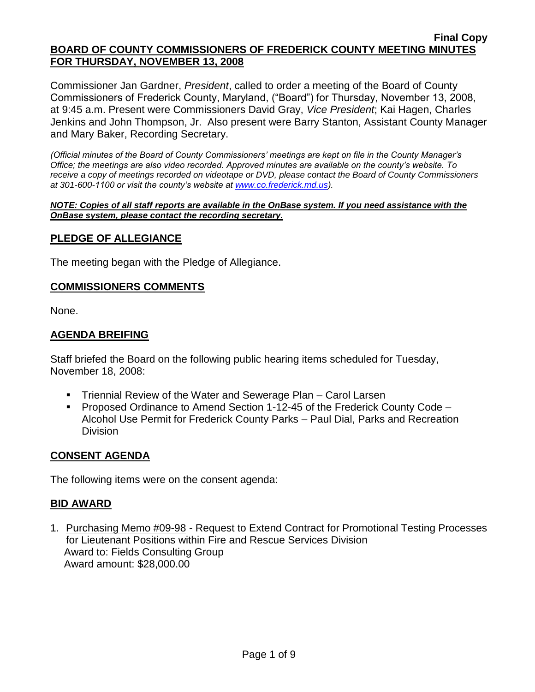Commissioner Jan Gardner, *President*, called to order a meeting of the Board of County Commissioners of Frederick County, Maryland, ("Board") for Thursday, November 13, 2008, at 9:45 a.m. Present were Commissioners David Gray, *Vice President*; Kai Hagen, Charles Jenkins and John Thompson, Jr. Also present were Barry Stanton, Assistant County Manager and Mary Baker, Recording Secretary.

*(Official minutes of the Board of County Commissioners' meetings are kept on file in the County Manager's Office; the meetings are also video recorded. Approved minutes are available on the county's website. To receive a copy of meetings recorded on videotape or DVD, please contact the Board of County Commissioners at 301-600-1100 or visit the county's website at [www.co.frederick.md.us\)](http://www.co.frederick.md.us/).*

#### *NOTE: Copies of all staff reports are available in the OnBase system. If you need assistance with the OnBase system, please contact the recording secretary.*

## **PLEDGE OF ALLEGIANCE**

The meeting began with the Pledge of Allegiance.

## **COMMISSIONERS COMMENTS**

None.

# **AGENDA BREIFING**

Staff briefed the Board on the following public hearing items scheduled for Tuesday, November 18, 2008:

- Triennial Review of the Water and Sewerage Plan Carol Larsen
- Proposed Ordinance to Amend Section 1-12-45 of the Frederick County Code Alcohol Use Permit for Frederick County Parks – Paul Dial, Parks and Recreation **Division**

## **CONSENT AGENDA**

The following items were on the consent agenda:

## **BID AWARD**

1. Purchasing Memo #09-98 - Request to Extend Contract for Promotional Testing Processes for Lieutenant Positions within Fire and Rescue Services Division Award to: Fields Consulting Group Award amount: \$28,000.00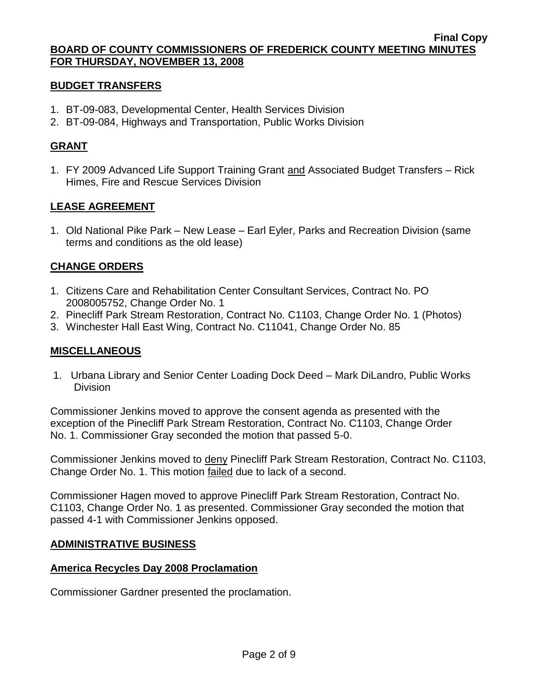## **BUDGET TRANSFERS**

- 1. BT-09-083, Developmental Center, Health Services Division
- 2. BT-09-084, Highways and Transportation, Public Works Division

# **GRANT**

1. FY 2009 Advanced Life Support Training Grant and Associated Budget Transfers – Rick Himes, Fire and Rescue Services Division

## **LEASE AGREEMENT**

1. Old National Pike Park – New Lease – Earl Eyler, Parks and Recreation Division (same terms and conditions as the old lease)

# **CHANGE ORDERS**

- 1. Citizens Care and Rehabilitation Center Consultant Services, Contract No. PO 2008005752, Change Order No. 1
- 2. Pinecliff Park Stream Restoration, Contract No. C1103, Change Order No. 1 (Photos)
- 3. Winchester Hall East Wing, Contract No. C11041, Change Order No. 85

# **MISCELLANEOUS**

1. Urbana Library and Senior Center Loading Dock Deed – Mark DiLandro, Public Works Division

Commissioner Jenkins moved to approve the consent agenda as presented with the exception of the Pinecliff Park Stream Restoration, Contract No. C1103, Change Order No. 1. Commissioner Gray seconded the motion that passed 5-0.

Commissioner Jenkins moved to deny Pinecliff Park Stream Restoration, Contract No. C1103, Change Order No. 1. This motion failed due to lack of a second.

Commissioner Hagen moved to approve Pinecliff Park Stream Restoration, Contract No. C1103, Change Order No. 1 as presented. Commissioner Gray seconded the motion that passed 4-1 with Commissioner Jenkins opposed.

## **ADMINISTRATIVE BUSINESS**

## **America Recycles Day 2008 Proclamation**

Commissioner Gardner presented the proclamation.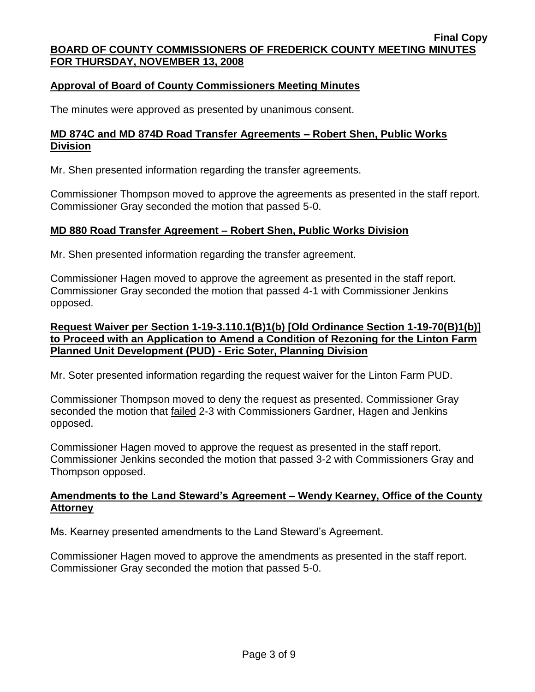# **Approval of Board of County Commissioners Meeting Minutes**

The minutes were approved as presented by unanimous consent.

## **MD 874C and MD 874D Road Transfer Agreements – Robert Shen, Public Works Division**

Mr. Shen presented information regarding the transfer agreements.

Commissioner Thompson moved to approve the agreements as presented in the staff report. Commissioner Gray seconded the motion that passed 5-0.

## **MD 880 Road Transfer Agreement – Robert Shen, Public Works Division**

Mr. Shen presented information regarding the transfer agreement.

Commissioner Hagen moved to approve the agreement as presented in the staff report. Commissioner Gray seconded the motion that passed 4-1 with Commissioner Jenkins opposed.

## **Request Waiver per Section 1-19-3.110.1(B)1(b) [Old Ordinance Section 1-19-70(B)1(b)] to Proceed with an Application to Amend a Condition of Rezoning for the Linton Farm Planned Unit Development (PUD) - Eric Soter, Planning Division**

Mr. Soter presented information regarding the request waiver for the Linton Farm PUD.

Commissioner Thompson moved to deny the request as presented. Commissioner Gray seconded the motion that failed 2-3 with Commissioners Gardner, Hagen and Jenkins opposed.

Commissioner Hagen moved to approve the request as presented in the staff report. Commissioner Jenkins seconded the motion that passed 3-2 with Commissioners Gray and Thompson opposed.

## **Amendments to the Land Steward's Agreement – Wendy Kearney, Office of the County Attorney**

Ms. Kearney presented amendments to the Land Steward's Agreement.

Commissioner Hagen moved to approve the amendments as presented in the staff report. Commissioner Gray seconded the motion that passed 5-0.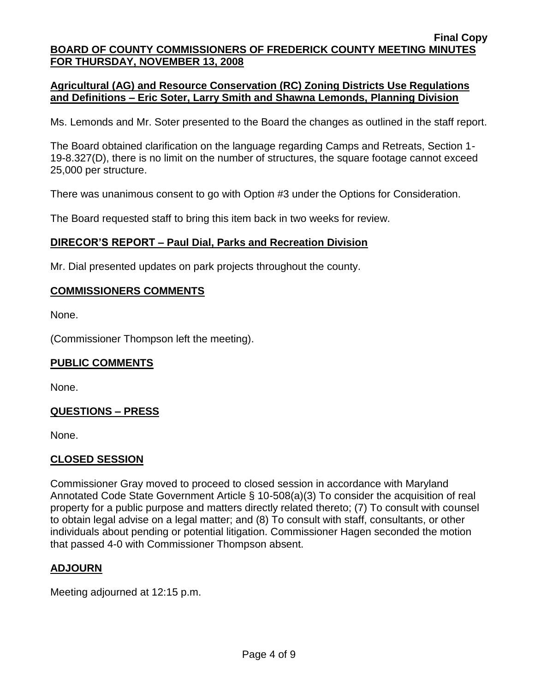# **Agricultural (AG) and Resource Conservation (RC) Zoning Districts Use Regulations and Definitions – Eric Soter, Larry Smith and Shawna Lemonds, Planning Division**

Ms. Lemonds and Mr. Soter presented to the Board the changes as outlined in the staff report.

The Board obtained clarification on the language regarding Camps and Retreats, Section 1- 19-8.327(D), there is no limit on the number of structures, the square footage cannot exceed 25,000 per structure.

There was unanimous consent to go with Option #3 under the Options for Consideration.

The Board requested staff to bring this item back in two weeks for review.

## **DIRECOR'S REPORT – Paul Dial, Parks and Recreation Division**

Mr. Dial presented updates on park projects throughout the county.

## **COMMISSIONERS COMMENTS**

None.

(Commissioner Thompson left the meeting).

### **PUBLIC COMMENTS**

None.

## **QUESTIONS – PRESS**

None.

### **CLOSED SESSION**

Commissioner Gray moved to proceed to closed session in accordance with Maryland Annotated Code State Government Article § 10-508(a)(3) To consider the acquisition of real property for a public purpose and matters directly related thereto; (7) To consult with counsel to obtain legal advise on a legal matter; and (8) To consult with staff, consultants, or other individuals about pending or potential litigation. Commissioner Hagen seconded the motion that passed 4-0 with Commissioner Thompson absent.

## **ADJOURN**

Meeting adjourned at 12:15 p.m.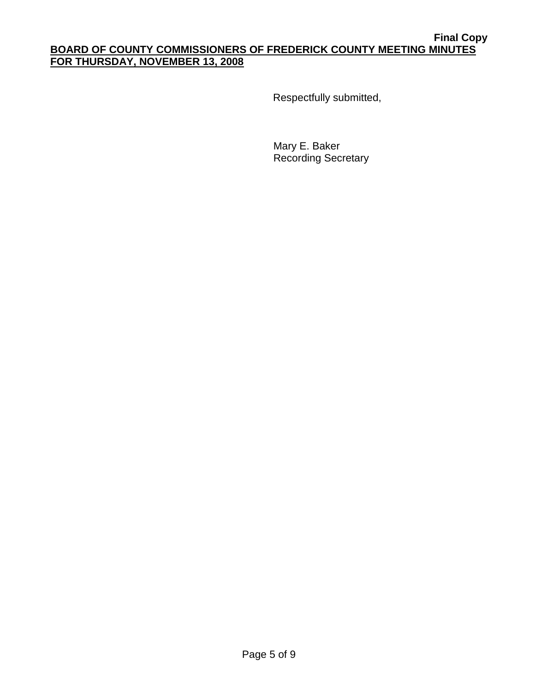Respectfully submitted,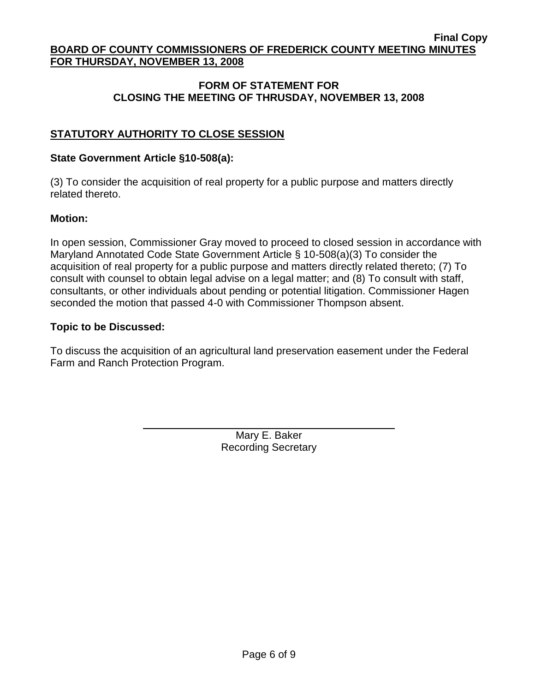# **FORM OF STATEMENT FOR CLOSING THE MEETING OF THRUSDAY, NOVEMBER 13, 2008**

# **STATUTORY AUTHORITY TO CLOSE SESSION**

# **State Government Article §10-508(a):**

(3) To consider the acquisition of real property for a public purpose and matters directly related thereto.

## **Motion:**

In open session, Commissioner Gray moved to proceed to closed session in accordance with Maryland Annotated Code State Government Article § 10-508(a)(3) To consider the acquisition of real property for a public purpose and matters directly related thereto; (7) To consult with counsel to obtain legal advise on a legal matter; and (8) To consult with staff, consultants, or other individuals about pending or potential litigation. Commissioner Hagen seconded the motion that passed 4-0 with Commissioner Thompson absent.

## **Topic to be Discussed:**

To discuss the acquisition of an agricultural land preservation easement under the Federal Farm and Ranch Protection Program.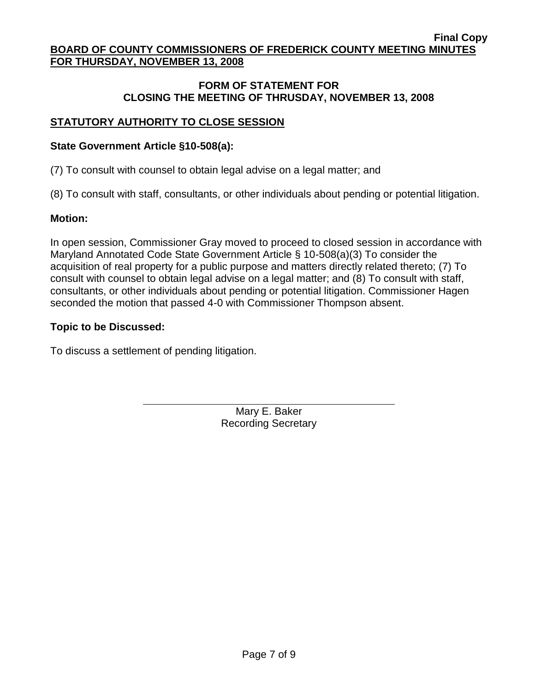## **FORM OF STATEMENT FOR CLOSING THE MEETING OF THRUSDAY, NOVEMBER 13, 2008**

# **STATUTORY AUTHORITY TO CLOSE SESSION**

# **State Government Article §10-508(a):**

(7) To consult with counsel to obtain legal advise on a legal matter; and

(8) To consult with staff, consultants, or other individuals about pending or potential litigation.

# **Motion:**

In open session, Commissioner Gray moved to proceed to closed session in accordance with Maryland Annotated Code State Government Article § 10-508(a)(3) To consider the acquisition of real property for a public purpose and matters directly related thereto; (7) To consult with counsel to obtain legal advise on a legal matter; and (8) To consult with staff, consultants, or other individuals about pending or potential litigation. Commissioner Hagen seconded the motion that passed 4-0 with Commissioner Thompson absent.

# **Topic to be Discussed:**

To discuss a settlement of pending litigation.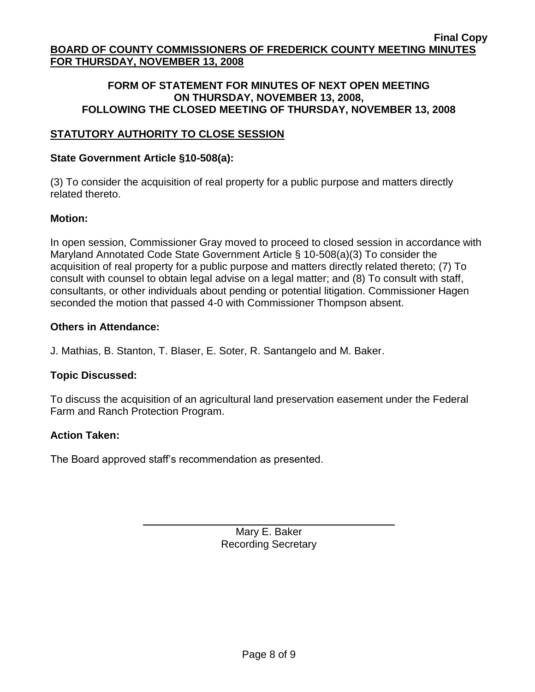## **FORM OF STATEMENT FOR MINUTES OF NEXT OPEN MEETING ON THURSDAY, NOVEMBER 13, 2008, FOLLOWING THE CLOSED MEETING OF THURSDAY, NOVEMBER 13, 2008**

# **STATUTORY AUTHORITY TO CLOSE SESSION**

## **State Government Article §10-508(a):**

(3) To consider the acquisition of real property for a public purpose and matters directly related thereto.

## **Motion:**

In open session, Commissioner Gray moved to proceed to closed session in accordance with Maryland Annotated Code State Government Article § 10-508(a)(3) To consider the acquisition of real property for a public purpose and matters directly related thereto; (7) To consult with counsel to obtain legal advise on a legal matter; and (8) To consult with staff, consultants, or other individuals about pending or potential litigation. Commissioner Hagen seconded the motion that passed 4-0 with Commissioner Thompson absent.

## **Others in Attendance:**

J. Mathias, B. Stanton, T. Blaser, E. Soter, R. Santangelo and M. Baker.

## **Topic Discussed:**

To discuss the acquisition of an agricultural land preservation easement under the Federal Farm and Ranch Protection Program.

### **Action Taken:**

The Board approved staff's recommendation as presented.